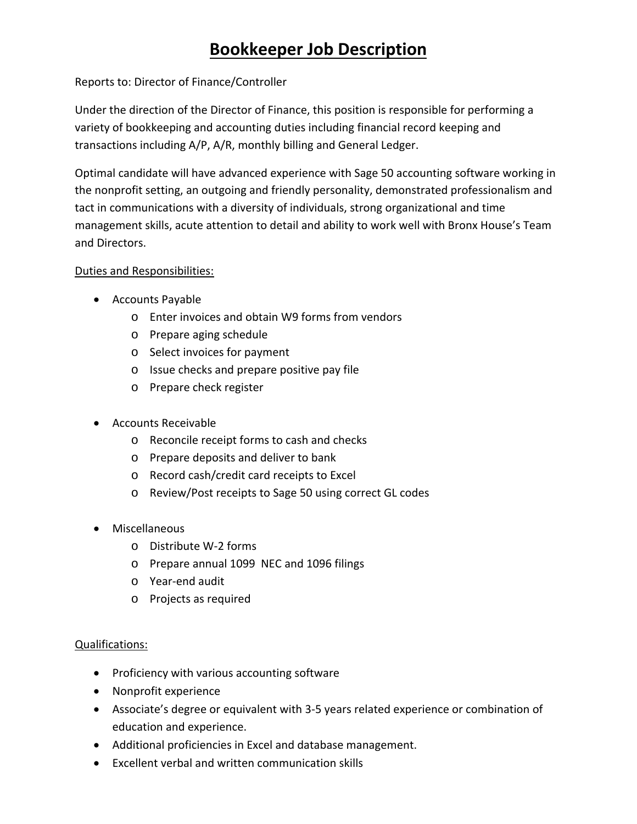## **Bookkeeper Job Description**

Reports to: Director of Finance/Controller

Under the direction of the Director of Finance, this position is responsible for performing a variety of bookkeeping and accounting duties including financial record keeping and transactions including A/P, A/R, monthly billing and General Ledger.

Optimal candidate will have advanced experience with Sage 50 accounting software working in the nonprofit setting, an outgoing and friendly personality, demonstrated professionalism and tact in communications with a diversity of individuals, strong organizational and time management skills, acute attention to detail and ability to work well with Bronx House's Team and Directors.

## Duties and Responsibilities:

- Accounts Payable
	- o Enter invoices and obtain W9 forms from vendors
	- o Prepare aging schedule
	- o Select invoices for payment
	- o Issue checks and prepare positive pay file
	- o Prepare check register
- Accounts Receivable
	- o Reconcile receipt forms to cash and checks
	- o Prepare deposits and deliver to bank
	- o Record cash/credit card receipts to Excel
	- o Review/Post receipts to Sage 50 using correct GL codes
- Miscellaneous
	- o Distribute W‐2 forms
	- o Prepare annual 1099 NEC and 1096 filings
	- o Year‐end audit
	- o Projects as required

## Qualifications:

- Proficiency with various accounting software
- Nonprofit experience
- Associate's degree or equivalent with 3‐5 years related experience or combination of education and experience.
- Additional proficiencies in Excel and database management.
- Excellent verbal and written communication skills